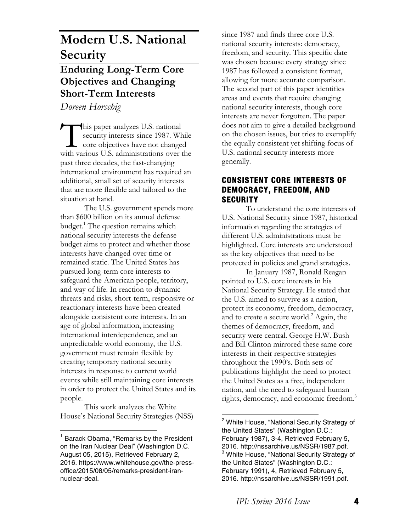# **Modern U.S. National Security Enduring Long-Term Core Objectives and Changing Short-Term Interests**

*Doreen Horschig*

his paper analyzes U.S. national security interests since 1987. While core objectives have not changed This paper analyzes U.S. national<br>security interests since 1987. While<br>core objectives have not changed<br>with various U.S. administrations over the past three decades, the fast-changing international environment has required an additional, small set of security interests that are more flexible and tailored to the situation at hand.

The U.S. government spends more than \$600 billion on its annual defense budget.<sup>1</sup> The question remains which national security interests the defense budget aims to protect and whether those interests have changed over time or remained static. The United States has pursued long-term core interests to safeguard the American people, territory, and way of life. In reaction to dynamic threats and risks, short-term, responsive or reactionary interests have been created alongside consistent core interests. In an age of global information, increasing international interdependence, and an unpredictable world economy, the U.S. government must remain flexible by creating temporary national security interests in response to current world events while still maintaining core interests in order to protect the United States and its people.

This work analyzes the White House's National Security Strategies (NSS)

 

since 1987 and finds three core U.S. national security interests: democracy, freedom, and security. This specific date was chosen because every strategy since 1987 has followed a consistent format, allowing for more accurate comparison. The second part of this paper identifies areas and events that require changing national security interests, though core interests are never forgotten. The paper does not aim to give a detailed background on the chosen issues, but tries to exemplify the equally consistent yet shifting focus of U.S. national security interests more generally.

# **CONSISTENT CORE INTERESTS OF DEMOCRACY, FREEDOM, AND SECURITY**

To understand the core interests of U.S. National Security since 1987, historical information regarding the strategies of different U.S. administrations must be highlighted. Core interests are understood as the key objectives that need to be protected in policies and grand strategies.

In January 1987, Ronald Reagan pointed to U.S. core interests in his National Security Strategy. He stated that the U.S. aimed to survive as a nation, protect its economy, freedom, democracy, and to create a secure world.<sup>2</sup> Again, the themes of democracy, freedom, and security were central. George H.W. Bush and Bill Clinton mirrored these same core interests in their respective strategies throughout the 1990's. Both sets of publications highlight the need to protect the United States as a free, independent nation, and the need to safeguard human rights, democracy, and economic freedom.<sup>3</sup>

<sup>1</sup> Barack Obama, "Remarks by the President on the Iran Nuclear Deal" (Washington D.C. August 05, 2015), Retrieved February 2, 2016. https://www.whitehouse.gov/the-pressoffice/2015/08/05/remarks-president-irannuclear-deal.

 <sup>2</sup> White House, "National Security Strategy of the United States" (Washington D.C.: February 1987), 3-4, Retrieved February 5, 2016. http://nssarchive.us/NSSR/1987.pdf. <sup>3</sup> White House, "National Security Strategy of the United States" (Washington D.C.: February 1991), 4, Retrieved February 5, 2016. http://nssarchive.us/NSSR/1991.pdf.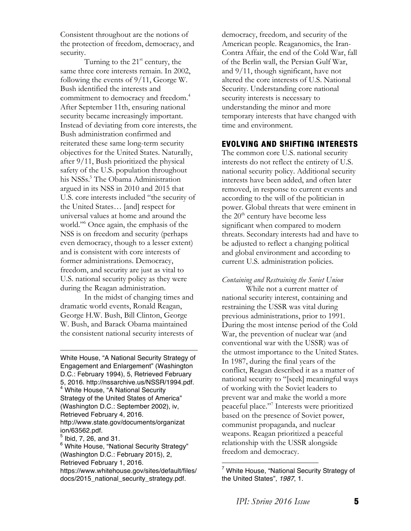Consistent throughout are the notions of the protection of freedom, democracy, and security.

Turning to the  $21<sup>st</sup>$  century, the same three core interests remain. In 2002, following the events of 9/11, George W. Bush identified the interests and commitment to democracy and freedom.<sup>4</sup> After September 11th, ensuring national security became increasingly important. Instead of deviating from core interests, the Bush administration confirmed and reiterated these same long-term security objectives for the United States. Naturally, after 9/11, Bush prioritized the physical safety of the U.S. population throughout his NSSs.<sup>5</sup> The Obama Administration argued in its NSS in 2010 and 2015 that U.S. core interests included "the security of the United States… [and] respect for universal values at home and around the world."<sup>6</sup> Once again, the emphasis of the NSS is on freedom and security (perhaps even democracy, though to a lesser extent) and is consistent with core interests of former administrations. Democracy, freedom, and security are just as vital to U.S. national security policy as they were during the Reagan administration.

In the midst of changing times and dramatic world events, Ronald Reagan, George H.W. Bush, Bill Clinton, George W. Bush, and Barack Obama maintained the consistent national security interests of

 

White House, "A National Security Strategy of Engagement and Enlargement" (Washington D.C.: February 1994), 5, Retrieved February 5, 2016. http://nssarchive.us/NSSR/1994.pdf. <sup>4</sup> White House, "A National Security Strategy of the United States of America" (Washington D.C.: September 2002), iv, Retrieved February 4, 2016. http://www.state.gov/documents/organizat ion/63562.pdf. <sup>5</sup> Ibid, 7, 26, and 31.

6 White House, "National Security Strategy" (Washington D.C.: February 2015), 2, Retrieved February 1, 2016. https://www.whitehouse.gov/sites/default/files/ docs/2015\_national\_security\_strategy.pdf.

democracy, freedom, and security of the American people. Reaganomics, the Iran-Contra Affair, the end of the Cold War, fall of the Berlin wall, the Persian Gulf War, and 9/11, though significant, have not altered the core interests of U.S. National Security. Understanding core national security interests is necessary to understanding the minor and more temporary interests that have changed with time and environment.

# **EVOLVING AND SHIFTING INTERESTS**

The common core U.S. national security interests do not reflect the entirety of U.S. national security policy. Additional security interests have been added, and often later removed, in response to current events and according to the will of the politician in power. Global threats that were eminent in the  $20<sup>th</sup>$  century have become less significant when compared to modern threats. Secondary interests had and have to be adjusted to reflect a changing political and global environment and according to current U.S. administration policies.

#### *Containing and Restraining the Soviet Union*

While not a current matter of national security interest, containing and restraining the USSR was vital during previous administrations, prior to 1991. During the most intense period of the Cold War, the prevention of nuclear war (and conventional war with the USSR) was of the utmost importance to the United States. In 1987, during the final years of the conflict, Reagan described it as a matter of national security to "[seek] meaningful ways of working with the Soviet leaders to prevent war and make the world a more peaceful place."7 Interests were prioritized based on the presence of Soviet power, communist propaganda, and nuclear weapons. Reagan prioritized a peaceful relationship with the USSR alongside freedom and democracy.

 

 $7$  White House, "National Security Strategy of the United States", *1987*, 1.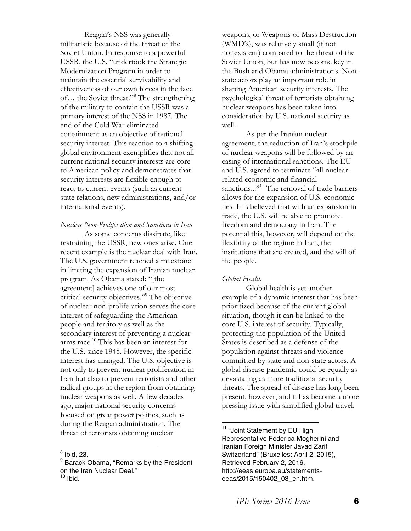Reagan's NSS was generally militaristic because of the threat of the Soviet Union. In response to a powerful USSR, the U.S. "undertook the Strategic Modernization Program in order to maintain the essential survivability and effectiveness of our own forces in the face of… the Soviet threat."8 The strengthening of the military to contain the USSR was a primary interest of the NSS in 1987. The end of the Cold War eliminated containment as an objective of national security interest. This reaction to a shifting global environment exemplifies that not all current national security interests are core to American policy and demonstrates that security interests are flexible enough to react to current events (such as current state relations, new administrations, and/or international events).

*Nuclear Non-Proliferation and Sanctions in Iran*

As some concerns dissipate, like restraining the USSR, new ones arise. One recent example is the nuclear deal with Iran. The U.S. government reached a milestone in limiting the expansion of Iranian nuclear program. As Obama stated: "[the agreement] achieves one of our most critical security objectives."9 The objective of nuclear non-proliferation serves the core interest of safeguarding the American people and territory as well as the secondary interest of preventing a nuclear arms race.<sup>10</sup> This has been an interest for the U.S. since 1945. However, the specific interest has changed. The U.S. objective is not only to prevent nuclear proliferation in Iran but also to prevent terrorists and other radical groups in the region from obtaining nuclear weapons as well. A few decades ago, major national security concerns focused on great power politics, such as during the Reagan administration. The threat of terrorists obtaining nuclear

 

weapons, or Weapons of Mass Destruction (WMD's), was relatively small (if not nonexistent) compared to the threat of the Soviet Union, but has now become key in the Bush and Obama administrations. Nonstate actors play an important role in shaping American security interests. The psychological threat of terrorists obtaining nuclear weapons has been taken into consideration by U.S. national security as well.

As per the Iranian nuclear agreement, the reduction of Iran's stockpile of nuclear weapons will be followed by an easing of international sanctions. The EU and U.S. agreed to terminate "all nuclearrelated economic and financial sanctions..."<sup>11</sup> The removal of trade barriers allows for the expansion of U.S. economic ties. It is believed that with an expansion in trade, the U.S. will be able to promote freedom and democracy in Iran. The potential this, however, will depend on the flexibility of the regime in Iran, the institutions that are created, and the will of the people.

### *Global Health*

Global health is yet another example of a dynamic interest that has been prioritized because of the current global situation, though it can be linked to the core U.S. interest of security. Typically, protecting the population of the United States is described as a defense of the population against threats and violence committed by state and non-state actors. A global disease pandemic could be equally as devastating as more traditional security threats. The spread of disease has long been present, however, and it has become a more pressing issue with simplified global travel.

 

 $<sup>8</sup>$  Ibid, 23.</sup>

<sup>&</sup>lt;sup>9</sup> Barack Obama, "Remarks by the President on the Iran Nuclear Deal."

 $10$  lbid.

<sup>&</sup>lt;sup>11</sup> "Joint Statement by EU High Representative Federica Mogherini and Iranian Foreign Minister Javad Zarif Switzerland" (Bruxelles: April 2, 2015), Retrieved February 2, 2016. http://eeas.europa.eu/statementseeas/2015/150402\_03\_en.htm.